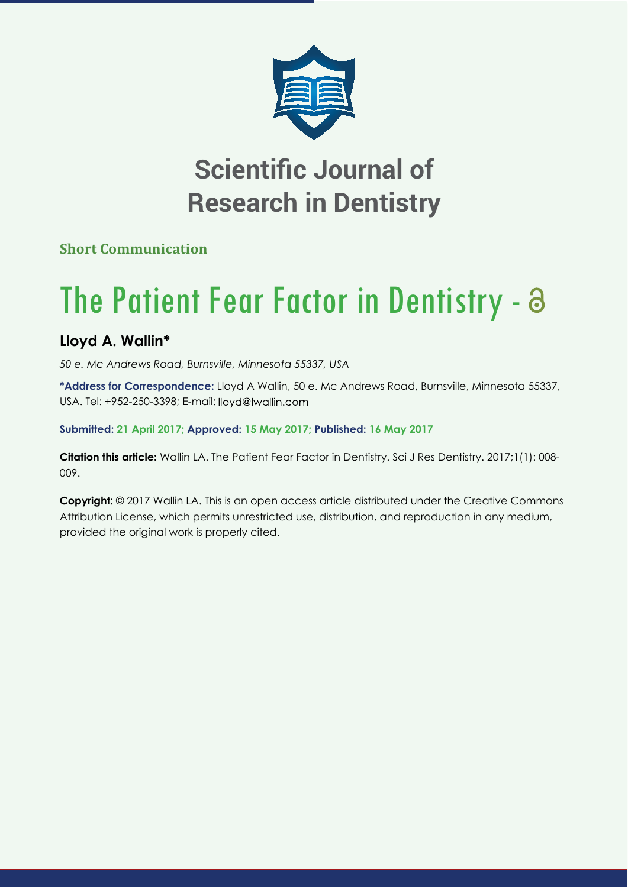

## **Scientific Journal of Research in Dentistry**

**Short Communication**

## The Patient Fear Factor in Dentistry -  $\partial$

## **Lloyd A. Wallin\***

*50 e. Mc Andrews Road, Burnsville, Minnesota 55337, USA*

**\*Address for Correspondence:** Lloyd A Wallin, 50 e. Mc Andrews Road, Burnsville, Minnesota 55337, USA. Tel: +952-250-3398; E-mail:

**Submitted: 21 April 2017; Approved: 15 May 2017; Published: 16 May 2017**

**Citation this article:** Wallin LA. The Patient Fear Factor in Dentistry. Sci J Res Dentistry. 2017;1(1): 008- 009.

**Copyright:** © 2017 Wallin LA. This is an open access article distributed under the Creative Commons Attribution License, which permits unrestricted use, distribution, and reproduction in any medium, provided the original work is properly cited.